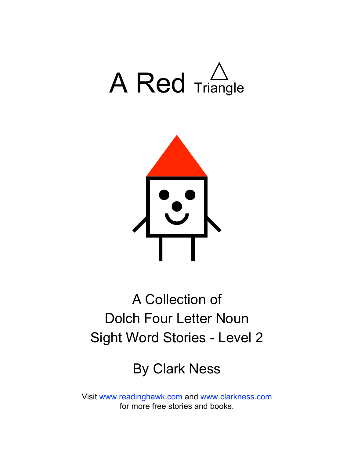



## A Collection of Dolch Four Letter Noun Sight Word Stories - Level 2

### By Clark Ness

Visit [www.readinghawk.com](http://www.readinghawk.com) and [www.clarkness.com](http://www.clarkness.com) for more free stories and books.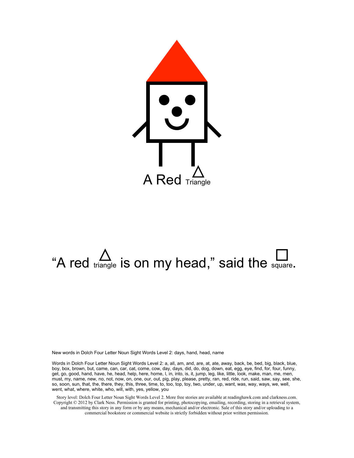

# "A red  $\sum_{\text{triangle}}$  is on my head," said the square.

New words in Dolch Four Letter Noun Sight Words Level 2: days, hand, head, name

Words in Dolch Four Letter Noun Sight Words Level 2: a, all, am, and, are, at, ate, away, back, be, bed, big, black, blue, boy, box, brown, but, came, can, car, cat, come, cow, day, days, did, do, dog, down, eat, egg, eye, find, for, four, funny, get, go, good, hand, have, he, head, help, here, home, I, in, into, is, it, jump, leg, like, little, look, make, man, me, men, must, my, name, new, no, not, now, on, one, our, out, pig, play, please, pretty, ran, red, ride, run, said, saw, say, see, she, so, soon, sun, that, the, there, they, this, three, time, to, too, top, toy, two, under, up, want, was, way, ways, we, well, went, what, where, white, who, will, with, yes, yellow, you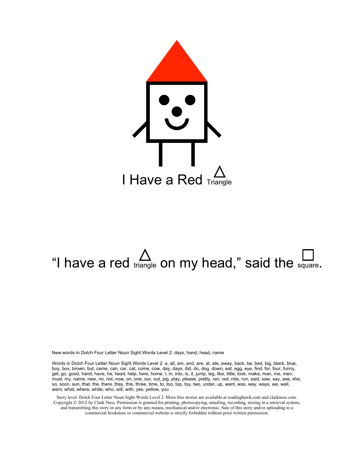

# "I have a red triangle on my head," said the square.

New words in Dolch Four Letter Noun Sight Words Level 2: days, hand, head, name

Words in Dolch Four Letter Noun Sight Words Level 2: a, all, am, and, are, at, ate, away, back, be, bed, big, black, blue, boy, box, brown, but, came, can, car, cat, come, cow, day, days, did, do, dog, down, eat, egg, eye, find, for, four, funny, get, go, good, hand, have, he, head, help, here, home, I, in, into, is, it, jump, leg, like, little, look, make, man, me, men, must, my, name, new, no, not, now, on, one, our, out, pig, play, please, pretty, ran, red, ride, run, said, saw, say, see, she, so, soon, sun, that, the, there, they, this, three, time, to, too, top, toy, two, under, up, want, was, way, ways, we, well, went, what, where, white, who, will, with, yes, yellow, you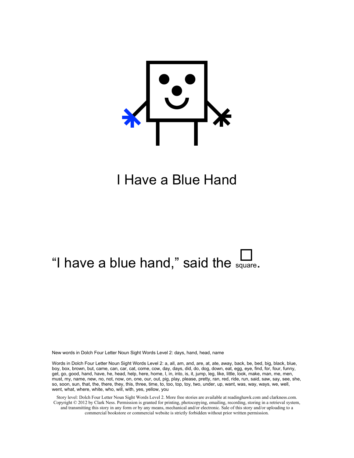

#### I Have a Blue Hand

### "I have a blue hand," said the  $\mathbb{L}$

New words in Dolch Four Letter Noun Sight Words Level 2: days, hand, head, name

Words in Dolch Four Letter Noun Sight Words Level 2: a, all, am, and, are, at, ate, away, back, be, bed, big, black, blue, boy, box, brown, but, came, can, car, cat, come, cow, day, days, did, do, dog, down, eat, egg, eye, find, for, four, funny, get, go, good, hand, have, he, head, help, here, home, I, in, into, is, it, jump, leg, like, little, look, make, man, me, men, must, my, name, new, no, not, now, on, one, our, out, pig, play, please, pretty, ran, red, ride, run, said, saw, say, see, she, so, soon, sun, that, the, there, they, this, three, time, to, too, top, toy, two, under, up, want, was, way, ways, we, well, went, what, where, white, who, will, with, yes, yellow, you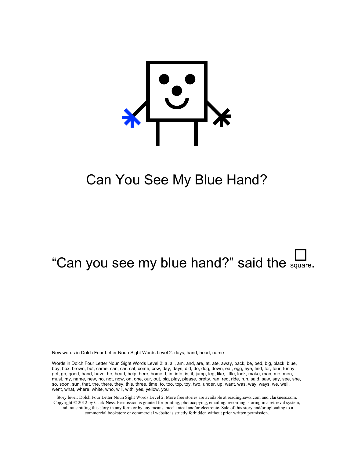

#### Can You See My Blue Hand?

### "Can you see my blue hand?" said the square.

New words in Dolch Four Letter Noun Sight Words Level 2: days, hand, head, name

Words in Dolch Four Letter Noun Sight Words Level 2: a, all, am, and, are, at, ate, away, back, be, bed, big, black, blue, boy, box, brown, but, came, can, car, cat, come, cow, day, days, did, do, dog, down, eat, egg, eye, find, for, four, funny, get, go, good, hand, have, he, head, help, here, home, I, in, into, is, it, jump, leg, like, little, look, make, man, me, men, must, my, name, new, no, not, now, on, one, our, out, pig, play, please, pretty, ran, red, ride, run, said, saw, say, see, she, so, soon, sun, that, the, there, they, this, three, time, to, too, top, toy, two, under, up, want, was, way, ways, we, well, went, what, where, white, who, will, with, yes, yellow, you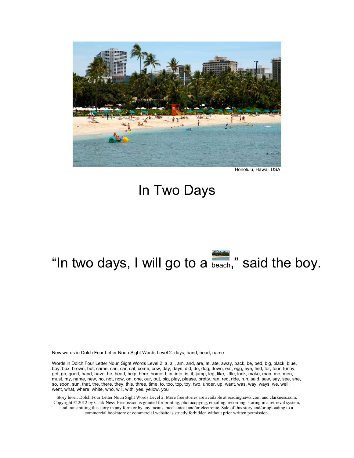

Honolulu, Hawaii USA

#### In Two Days

# "In two days, I will go to a beach," said the boy.

New words in Dolch Four Letter Noun Sight Words Level 2: days, hand, head, name

Words in Dolch Four Letter Noun Sight Words Level 2: a, all, am, and, are, at, ate, away, back, be, bed, big, black, blue, boy, box, brown, but, came, can, car, cat, come, cow, day, days, did, do, dog, down, eat, egg, eye, find, for, four, funny, get, go, good, hand, have, he, head, help, here, home, I, in, into, is, it, jump, leg, like, little, look, make, man, me, men, must, my, name, new, no, not, now, on, one, our, out, pig, play, please, pretty, ran, red, ride, run, said, saw, say, see, she, so, soon, sun, that, the, there, they, this, three, time, to, too, top, toy, two, under, up, want, was, way, ways, we, well, went, what, where, white, who, will, with, yes, yellow, you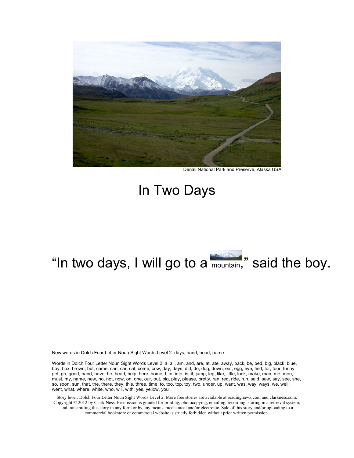

Denali National Park and Preserve, Alaska USA

#### In Two Days

### "In two days, I will go to a mountain," said the boy.

New words in Dolch Four Letter Noun Sight Words Level 2: days, hand, head, name

Words in Dolch Four Letter Noun Sight Words Level 2: a, all, am, and, are, at, ate, away, back, be, bed, big, black, blue, boy, box, brown, but, came, can, car, cat, come, cow, day, days, did, do, dog, down, eat, egg, eye, find, for, four, funny, get, go, good, hand, have, he, head, help, here, home, I, in, into, is, it, jump, leg, like, little, look, make, man, me, men, must, my, name, new, no, not, now, on, one, our, out, pig, play, please, pretty, ran, red, ride, run, said, saw, say, see, she, so, soon, sun, that, the, there, they, this, three, time, to, too, top, toy, two, under, up, want, was, way, ways, we, well, went, what, where, white, who, will, with, yes, yellow, you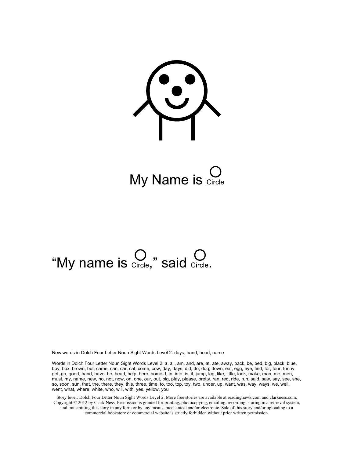<u>U</u>

My Name is  $\sum_{\text{Circle}}$ 

# "My name is  $\bigcirc$   $\bigcirc$  said  $\bigcirc$  saicle.

New words in Dolch Four Letter Noun Sight Words Level 2: days, hand, head, name

Words in Dolch Four Letter Noun Sight Words Level 2: a, all, am, and, are, at, ate, away, back, be, bed, big, black, blue, boy, box, brown, but, came, can, car, cat, come, cow, day, days, did, do, dog, down, eat, egg, eye, find, for, four, funny, get, go, good, hand, have, he, head, help, here, home, I, in, into, is, it, jump, leg, like, little, look, make, man, me, men, must, my, name, new, no, not, now, on, one, our, out, pig, play, please, pretty, ran, red, ride, run, said, saw, say, see, she, so, soon, sun, that, the, there, they, this, three, time, to, too, top, toy, two, under, up, want, was, way, ways, we, well, went, what, where, white, who, will, with, yes, yellow, you